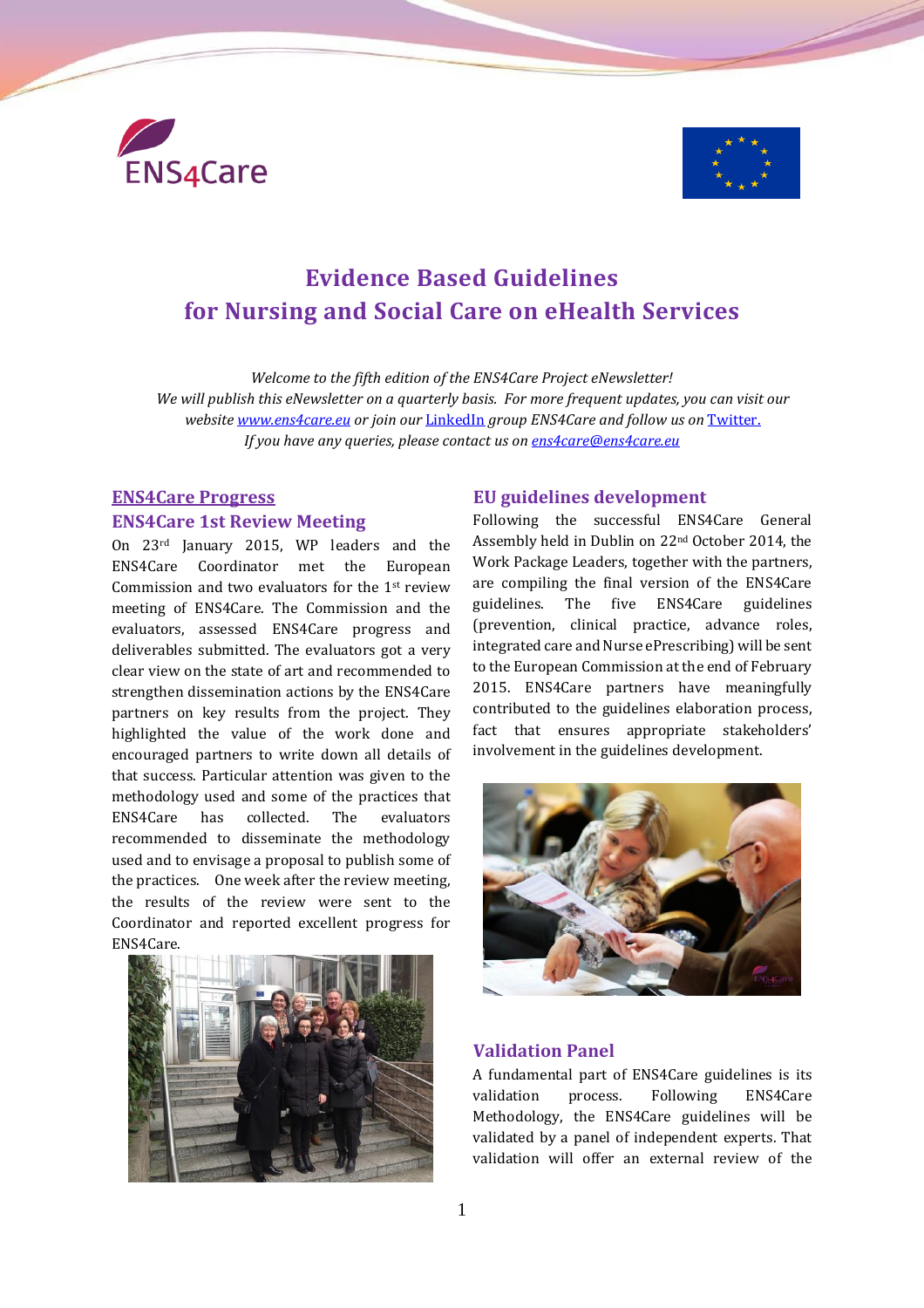



# **Evidence Based Guidelines for Nursing and Social Care on eHealth Services**

*Welcome to the fifth edition of the ENS4Care Project eNewsletter! We will publish this eNewsletter on a quarterly basis. For more frequent updates, you can visit our website [www.ens4care.eu](http://www.ens4care.eu/) or join our* [LinkedIn](http://www.linkedin.com/groups?gid=7448022&mostPopular=&trk=tyah&trkInfo=tas%253AENS4Care%252Cidx%253A1-1-1) *group ENS4Care and follow us on* [Twitter.](https://twitter.com/ens4care) *If you have any queries, please contact us on [ens4care@ens4care.eu](mailto:ens4care@ens4care.eu)*

## **ENS4Care Progress ENS4Care 1st Review Meeting**

On 23rd January 2015, WP leaders and the ENS4Care Coordinator met the European Commission and two evaluators for the 1st review meeting of ENS4Care. The Commission and the evaluators, assessed ENS4Care progress and deliverables submitted. The evaluators got a very clear view on the state of art and recommended to strengthen dissemination actions by the ENS4Care partners on key results from the project. They highlighted the value of the work done and encouraged partners to write down all details of that success. Particular attention was given to the methodology used and some of the practices that ENS4Care has collected. The evaluators recommended to disseminate the methodology used and to envisage a proposal to publish some of the practices. One week after the review meeting, the results of the review were sent to the Coordinator and reported excellent progress for ENS4Care.



### **EU guidelines development**

Following the successful ENS4Care General Assembly held in Dublin on 22nd October 2014, the Work Package Leaders, together with the partners, are compiling the final version of the ENS4Care guidelines. The five ENS4Care guidelines (prevention, clinical practice, advance roles, integrated care and Nurse ePrescribing) will be sent to the European Commission at the end of February 2015. ENS4Care partners have meaningfully contributed to the guidelines elaboration process, fact that ensures appropriate stakeholders' involvement in the guidelines development.



#### **Validation Panel**

A fundamental part of ENS4Care guidelines is its validation process. Following ENS4Care Methodology, the ENS4Care guidelines will be validated by a panel of independent experts. That validation will offer an external review of the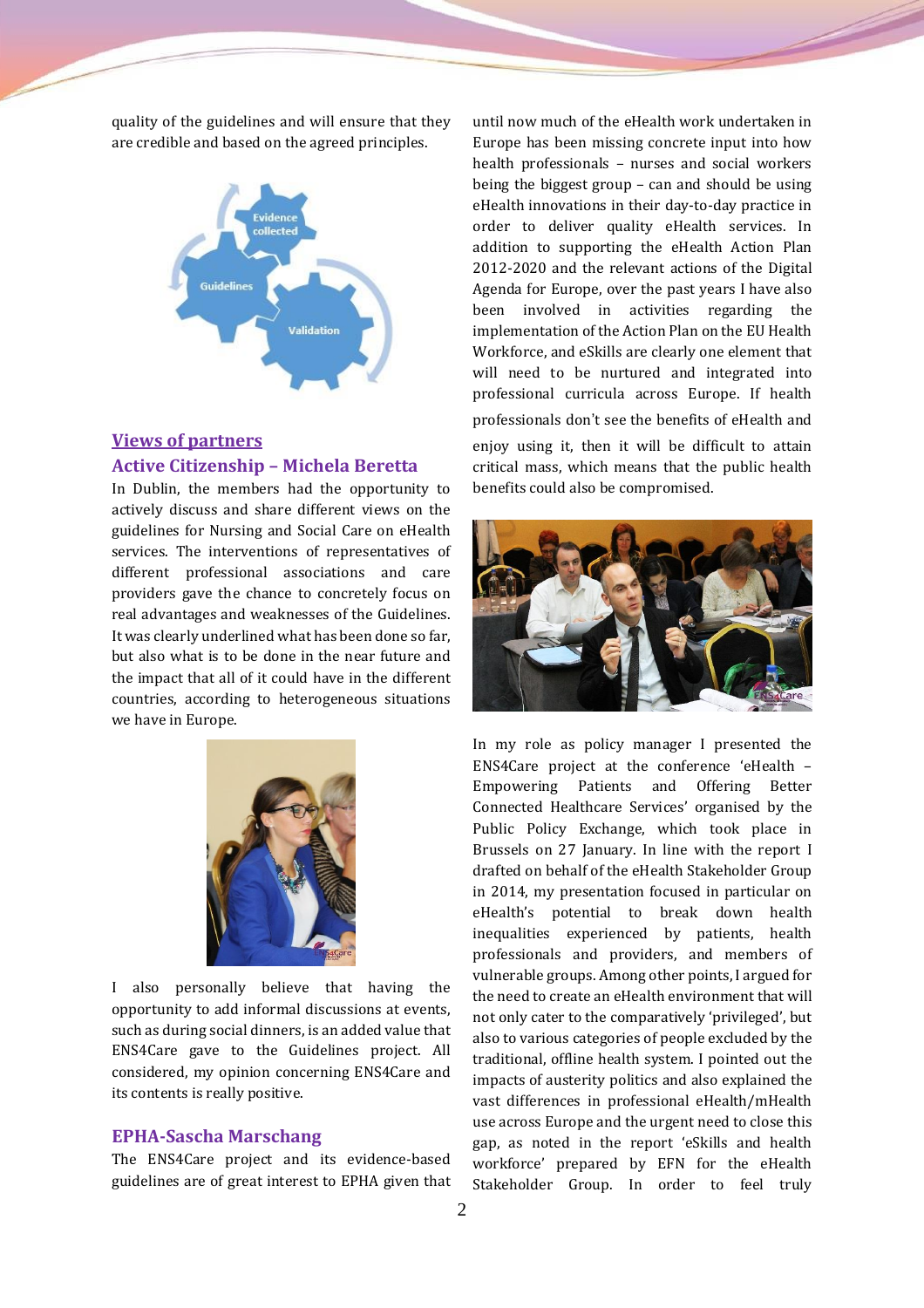quality of the guidelines and will ensure that they are credible and based on the agreed principles.



## **Views of partners Active Citizenship – Michela Beretta**

In Dublin, the members had the opportunity to actively discuss and share different views on the guidelines for Nursing and Social Care on eHealth services. The interventions of representatives of different professional associations and care providers gave the chance to concretely focus on real advantages and weaknesses of the Guidelines. It was clearly underlined what has been done so far, but also what is to be done in the near future and the impact that all of it could have in the different countries, according to heterogeneous situations we have in Europe.



I also personally believe that having the opportunity to add informal discussions at events, such as during social dinners, is an added value that ENS4Care gave to the Guidelines project. All considered, my opinion concerning ENS4Care and its contents is really positive.

#### **EPHA-Sascha Marschang**

The ENS4Care project and its evidence-based guidelines are of great interest to EPHA given that

until now much of the eHealth work undertaken in Europe has been missing concrete input into how health professionals – nurses and social workers being the biggest group – can and should be using eHealth innovations in their day-to-day practice in order to deliver quality eHealth services. In addition to supporting the eHealth Action Plan 2012-2020 and the relevant actions of the Digital Agenda for Europe, over the past years I have also been involved in activities regarding the implementation of the Action Plan on the EU Health Workforce, and eSkills are clearly one element that will need to be nurtured and integrated into professional curricula across Europe. If health professionals don't see the benefits of eHealth and enjoy using it, then it will be difficult to attain critical mass, which means that the public health benefits could also be compromised.



In my role as policy manager I presented the ENS4Care project at the conference 'eHealth – Empowering Patients and Offering Better Connected Healthcare Services' organised by the Public Policy Exchange, which took place in Brussels on 27 January. In line with the report I drafted on behalf of the eHealth Stakeholder Group in 2014, my presentation focused in particular on eHealth's potential to break down health inequalities experienced by patients, health professionals and providers, and members of vulnerable groups. Among other points, I argued for the need to create an eHealth environment that will not only cater to the comparatively 'privileged', but also to various categories of people excluded by the traditional, offline health system. I pointed out the impacts of austerity politics and also explained the vast differences in professional eHealth/mHealth use across Europe and the urgent need to close this gap, as noted in the report 'eSkills and health workforce' prepared by EFN for the eHealth Stakeholder Group. In order to feel truly